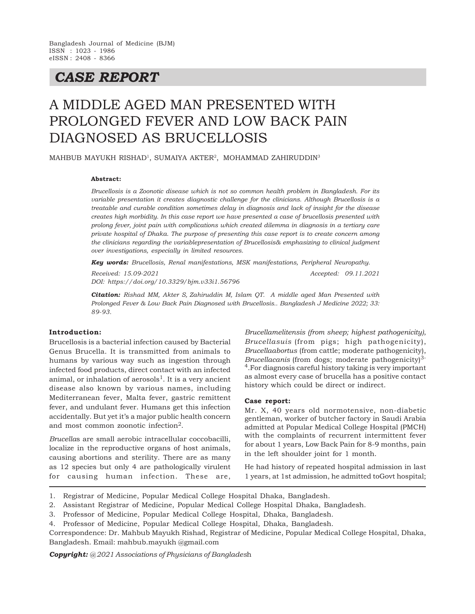# *CASE REPORT*

# A MIDDLE AGED MAN PRESENTED WITH PROLONGED FEVER AND LOW BACK PAIN DIAGNOSED AS BRUCELLOSIS

MAHBUB MAYUKH RISHAD<sup>1</sup> , SUMAIYA AKTER<sup>2</sup> , MOHAMMAD ZAHIRUDDIN<sup>3</sup>

#### **Abstract:**

*Brucellosis is a Zoonotic disease which is not so common health problem in Bangladesh. For its variable presentation it creates diagnostic challenge for the clinicians. Although Brucellosis is a treatable and curable condition sometimes delay in diagnosis and lack of insight for the disease creates high morbidity. In this case report we have presented a case of brucellosis presented with prolong fever, joint pain with complications which created dilemma in diagnosis in a tertiary care private hospital of Dhaka. The purpose of presenting this case report is to create concern among the clinicians regarding the variablepresentation of Brucellosis& emphasizing to clinical judgment over investigations, especially in limited resources.*

*Key words: Brucellosis, Renal manifestations, MSK manifestations, Peripheral Neuropathy.*

*Received: 15.09-2021 Accepted: 09.11.2021 DOI: https://doi.org/10.3329/bjm.v33i1.56796*

*Citation: Rishad MM, Akter S, Zahiruddin M, Islam QT. A middle aged Man Presented with Prolonged Fever & Low Back Pain Diagnosed with Brucellosis.. Bangladesh J Medicine 2022; 33: 89-93.*

# **Introduction:**

Brucellosis is a bacterial infection caused by Bacterial Genus Brucella. It is transmitted from animals to humans by various way such as ingestion through infected food products, direct contact with an infected animal, or inhalation of aerosols<sup>1</sup>. It is a very ancient disease also known by various names, including Mediterranean fever, Malta fever, gastric remittent fever, and undulant fever. Humans get this infection accidentally. But yet it's a major public health concern and most common zoonotic infection2.

*Brucella*s are small aerobic intracellular coccobacilli, localize in the reproductive organs of host animals, causing abortions and sterility. There are as many as 12 species but only 4 are pathologically virulent for causing human infection. These are,

*Brucellamelitensis (from sheep; highest pathogenicity)*, *Brucellasuis* (from pigs; high pathogenicity), *Brucellaabortus* (from cattle; moderate pathogenicity), *Brucellacanis* (from dogs; moderate pathogenicity)<sup>3-</sup> <sup>4</sup>.For diagnosis careful history taking is very important as almost every case of brucella has a positive contact history which could be direct or indirect.

### **Case report:**

Mr. X, 40 years old normotensive, non-diabetic gentleman, worker of butcher factory in Saudi Arabia admitted at Popular Medical College Hospital (PMCH) with the complaints of recurrent intermittent fever for about 1 years, Low Back Pain for 8-9 months, pain in the left shoulder joint for 1 month.

He had history of repeated hospital admission in last 1 years, at 1st admission, he admitted toGovt hospital;

- 1. Registrar of Medicine, Popular Medical College Hospital Dhaka, Bangladesh.
- 2. Assistant Registrar of Medicine, Popular Medical College Hospital Dhaka, Bangladesh.
- 3. Professor of Medicine, Popular Medical College Hospital, Dhaka, Bangladesh.
- 4. Professor of Medicine, Popular Medical College Hospital, Dhaka, Bangladesh.

Correspondence: Dr. Mahbub Mayukh Rishad, Registrar of Medicine, Popular Medical College Hospital, Dhaka, Bangladesh. Email: mahbub.mayukh @gmail.com

*Copyright: @ 2021 Associations of Physicians of Banglades*h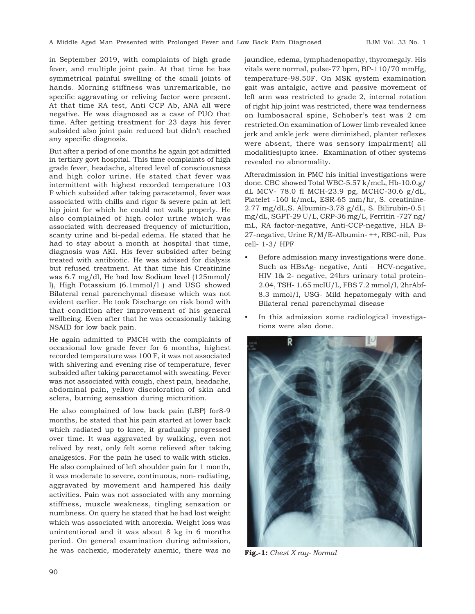in September 2019, with complaints of high grade fever, and multiple joint pain. At that time he has symmetrical painful swelling of the small joints of hands. Morning stiffness was unremarkable, no specific aggravating or reliving factor were present. At that time RA test, Anti CCP Ab, ANA all were negative. He was diagnosed as a case of PUO that time. After getting treatment for 23 days his fever subsided also joint pain reduced but didn't reached any specific diagnosis.

But after a period of one months he again got admitted in tertiary govt hospital. This time complaints of high grade fever, headache, altered level of consciousness and high color urine. He stated that fever was intermittent with highest recorded temperature 103 F which subsided after taking paracetamol, fever was associated with chills and rigor & severe pain at left hip joint for which he could not walk properly. He also complained of high color urine which was associated with decreased frequency of micturition, scanty urine and bi-pedal edema. He stated that he had to stay about a month at hospital that time, diagnosis was AKI. His fever subsided after being treated with antibiotic. He was advised for dialysis but refused treatment. At that time his Creatinine was 6.7 mg/dl, He had low Sodium level (125mmol/ l), High Potassium (6.1mmol/l ) and USG showed Bilateral renal parenchymal disease which was not evident earlier. He took Discharge on risk bond with that condition after improvement of his general wellbeing. Even after that he was occasionally taking NSAID for low back pain.

He again admitted to PMCH with the complaints of occasional low grade fever for 6 months, highest recorded temperature was 100 F, it was not associated with shivering and evening rise of temperature, fever subsided after taking paracetamol with sweating. Fever was not associated with cough, chest pain, headache, abdominal pain, yellow discoloration of skin and sclera, burning sensation during micturition.

He also complained of low back pain (LBP) for8-9 months, he stated that his pain started at lower back which radiated up to knee, it gradually progressed over time. It was aggravated by walking, even not relived by rest, only felt some relieved after taking analgesics. For the pain he used to walk with sticks. He also complained of left shoulder pain for 1 month, it was moderate to severe, continuous, non- radiating, aggravated by movement and hampered his daily activities. Pain was not associated with any morning stiffness, muscle weakness, tingling sensation or numbness. On query he stated that he had lost weight which was associated with anorexia. Weight loss was unintentional and it was about 8 kg in 6 months period. On general examination during admission, he was cachexic, moderately anemic, there was no jaundice, edema, lymphadenopathy, thyromegaly. His vitals were normal, pulse-77 bpm, BP-110/70 mmHg, temperature-98.50F. On MSK system examination gait was antalgic, active and passive movement of left arm was restricted to grade 2, internal rotation of right hip joint was restricted, there was tenderness on lumbosacral spine, Schober's test was 2 cm restricted.On examination of Lower limb revealed knee jerk and ankle jerk were diminished, planter reflexes were absent, there was sensory impairment( all modalities)upto knee. Examination of other systems revealed no abnormality.

Afteradmission in PMC his initial investigations were done. CBC showed Total WBC-5.57 k/mcL, Hb-10.0.g/ dL MCV- 78.0 fl MCH-23.9 pg, MCHC-30.6 g/dL, Platelet -160 k/mcL, ESR-65 mm/hr, S. creatinine-2.77 mg/dL,S. Albumin-3.78 g/dL, S. Bilirubin-0.51 mg/dL, SGPT-29 U/L, CRP-36 mg/L, Ferritin -727 ng/ mL, RA factor-negative, Anti-CCP-negative, HLA B-27-negative, Urine R/M/E-Albumin- ++, RBC-nil, Pus cell- 1-3/ HPF

- Before admission many investigations were done. Such as HBsAg- negative, Anti – HCV-negative, HIV 1& 2- negative, 24hrs urinary total protein-2.04, TSH- 1.65 mcIU/L, FBS 7.2 mmol/l, 2hrAbf-8.3 mmol/l, USG- Mild hepatomegaly with and Bilateral renal parenchymal disease
- In this admission some radiological investigations were also done.



**Fig.-1:** *Chest X ray- Normal*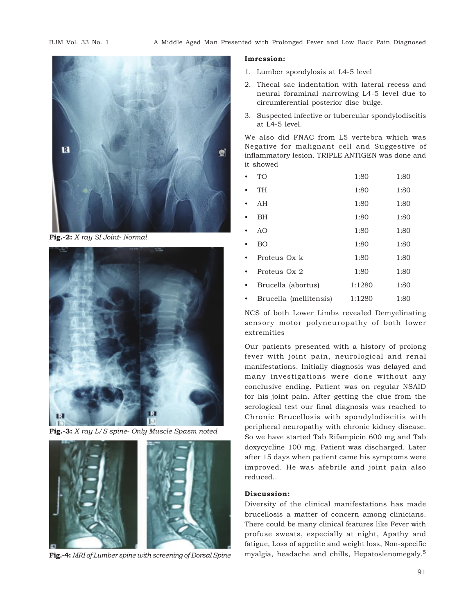

**Fig.-2:** *X ray SI Joint- Normal*



**Fig.-3:** *X ray L/S spine- Only Muscle Spasm noted*



**Fig.-4:** *MRI of Lumber spine with screening of Dorsal Spine*

#### **Imression:**

- 1. Lumber spondylosis at L4-5 level
- 2. Thecal sac indentation with lateral recess and neural foraminal narrowing L4-5 level due to circumferential posterior disc bulge.
- 3. Suspected infective or tubercular spondylodiscitis at L4-5 level.

We also did FNAC from L5 vertebra which was Negative for malignant cell and Suggestive of inflammatory lesion. TRIPLE ANTIGEN was done and it showed

- TO 1:80 1:80
- TH 1:80 1:80
- AH 1:80 1:80
- BH 1:80 1:80
- AO 1:80 1:80
- BO 1:80 1:80
- Proteus Ox k 1:80 1:80
- Proteus Ox 2 1:80 1:80
- Brucella (abortus) 1:1280 1:80
- Brucella (mellitensis) 1:1280 1:80

NCS of both Lower Limbs revealed Demyelinating sensory motor polyneuropathy of both lower extremities

Our patients presented with a history of prolong fever with joint pain, neurological and renal manifestations. Initially diagnosis was delayed and many investigations were done without any conclusive ending. Patient was on regular NSAID for his joint pain. After getting the clue from the serological test our final diagnosis was reached to Chronic Brucellosis with spondylodiscitis with peripheral neuropathy with chronic kidney disease. So we have started Tab Rifampicin 600 mg and Tab doxycycline 100 mg. Patient was discharged. Later after 15 days when patient came his symptoms were improved. He was afebrile and joint pain also reduced..

# **Discussion:**

Diversity of the clinical manifestations has made brucellosis a matter of concern among clinicians. There could be many clinical features like Fever with profuse sweats, especially at night, Apathy and fatigue, Loss of appetite and weight loss, Non-specific myalgia, headache and chills, Hepatoslenomegaly.<sup>5</sup>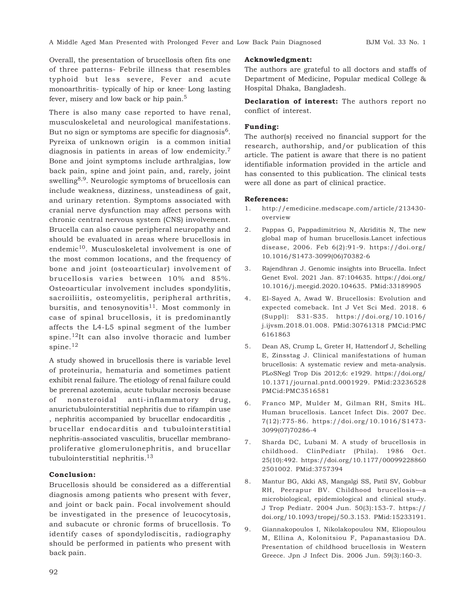Overall, the presentation of brucellosis often fits one of three patterns- Febrile illness that resembles typhoid but less severe, Fever and acute monoarthritis- typically of hip or knee, Long lasting fever, misery and low back or hip pain.<sup>5</sup>

There is also many case reported to have renal, musculoskeletal and neurological manifestations. But no sign or symptoms are specific for diagnosis<sup>6</sup>. Pyreixa of unknown origin is a common initial diagnosis in patients in areas of low endemicity.<sup>7</sup> Bone and joint symptoms include arthralgias, low back pain, spine and joint pain, and, rarely, joint swelling<sup>8,9</sup>. Neurologic symptoms of brucellosis can include weakness, dizziness, unsteadiness of gait, and urinary retention. Symptoms associated with cranial nerve dysfunction may affect persons with chronic central nervous system (CNS) involvement. Brucella can also cause peripheral neuropathy and should be evaluated in areas where brucellosis in endemic<sup>10</sup>. Musculoskeletal involvement is one of the most common locations, and the frequency of bone and joint (osteoarticular) involvement of brucellosis varies between 10% and 85%. Osteoarticular involvement includes spondylitis, sacroiliitis, osteomyelitis, peripheral arthritis, bursitis, and tenosynovitis<sup>11</sup>. Most commonly in case of spinal brucellosis, it is predominantly affects the L4-L5 spinal segment of the lumber spine.12It can also involve thoracic and lumber spine.<sup>12</sup>

A study showed in brucellosis there is variable level of proteinuria, hematuria and sometimes patient exhibit renal failure. The etiology of renal failure could be prerenal azotemia, acute tubular necrosis because of nonsteroidal anti-inflammatory drug, anurictubulointerstitial nephritis due to rifampin use , nephritis accompanied by brucellar endocarditis , brucellar endocarditis and tubulointerstitial nephritis-associated vasculitis, brucellar membranoproliferative glomerulonephritis, and brucellar tubulointerstitial nephritis.<sup>13</sup>

## **Conclusion:**

Brucellosis should be considered as a differential diagnosis among patients who present with fever, and joint or back pain. Focal involvement should be investigated in the presence of leucocytosis, and subacute or chronic forms of brucellosis. To identify cases of spondylodiscitis, radiography should be performed in patients who present with back pain.

#### **Acknowledgment:**

The authors are grateful to all doctors and staffs of Department of Medicine, Popular medical College & Hospital Dhaka, Bangladesh.

**Declaration of interest:** The authors report no conflict of interest.

## **Funding:**

The author(s) received no financial support for the research, authorship, and/or publication of this article. The patient is aware that there is no patient identifiable information provided in the article and has consented to this publication. The clinical tests were all done as part of clinical practice.

#### **References:**

- 1. http://emedicine.medscape.com/article/213430 overview
- 2. Pappas G, Pappadimitriou N, Akriditis N, The new global map of human brucellosis.Lancet infectious disease, 2006. Feb 6(2):91-9. https://doi.org/ 10.1016/S1473-3099(06)70382-6
- 3. Rajendhran J. Genomic insights into Brucella. Infect Genet Evol. 2021 Jan. 87:104635. https://doi.org/ 10.1016/j.meegid.2020.104635. PMid:33189905
- 4. El-Sayed A, Awad W. Brucellosis: Evolution and expected comeback. Int J Vet Sci Med. 2018. 6 (Suppl): S31-S35. https://doi.org/10.1016/ j.ijvsm.2018.01.008. PMid:30761318 PMCid:PMC 6161863
- 5. Dean AS, Crump L, Greter H, Hattendorf J, Schelling E, Zinsstag J. Clinical manifestations of human brucellosis: A systematic review and meta-analysis. PLoSNegl Trop Dis 2012;6: e1929. https://doi.org/ 10.1371/journal.pntd.0001929. PMid:23236528 PMCid:PMC3516581
- 6. Franco MP, Mulder M, Gilman RH, Smits HL. Human brucellosis. Lancet Infect Dis. 2007 Dec. 7(12):775-86. https://doi.org/10.1016/S1473- 3099(07)70286-4
- 7. Sharda DC, Lubani M. A study of brucellosis in childhood. ClinPediatr (Phila). 1986 Oct. 25(10):492. https://doi.org/10.1177/00099228860 2501002. PMid:3757394
- 8. Mantur BG, Akki AS, Mangalgi SS, Patil SV, Gobbur RH, Peerapur BV. Childhood brucellosis—a microbiological, epidemiological and clinical study. J Trop Pediatr. 2004 Jun. 50(3):153-7. https:// doi.org/10.1093/tropej/50.3.153. PMid:15233191.
- 9. Giannakopoulos I, Nikolakopoulou NM, Eliopoulou M, Ellina A, Kolonitsiou F, Papanastasiou DA. Presentation of childhood brucellosis in Western Greece. Jpn J Infect Dis. 2006 Jun. 59(3):160-3.